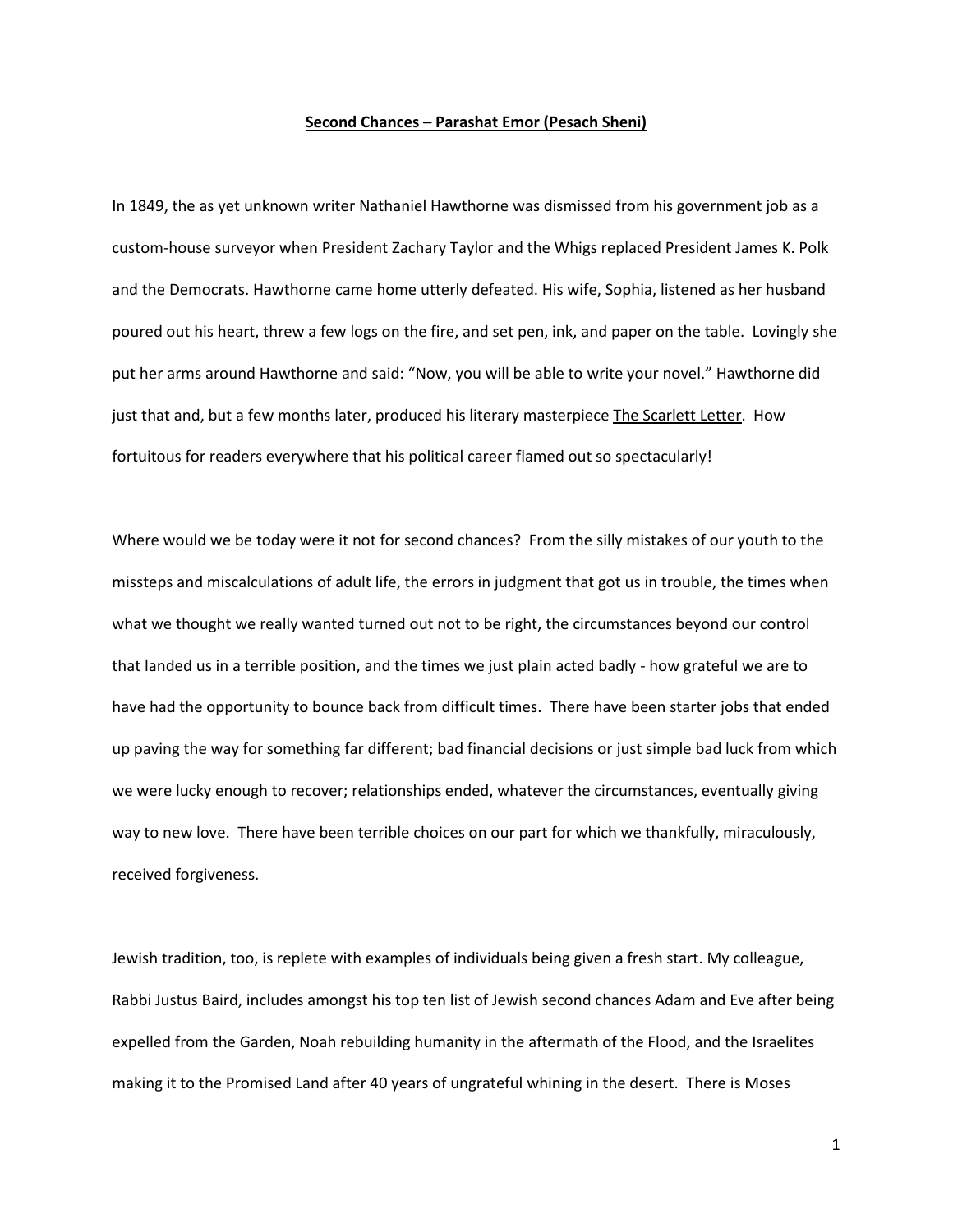## **Second Chances – Parashat Emor (Pesach Sheni)**

In 1849, the as yet unknown writer Nathaniel Hawthorne was dismissed from his government job as a custom-house surveyor when President Zachary Taylor and the Whigs replaced President James K. Polk and the Democrats. Hawthorne came home utterly defeated. His wife, Sophia, listened as her husband poured out his heart, threw a few logs on the fire, and set pen, ink, and paper on the table. Lovingly she put her arms around Hawthorne and said: "Now, you will be able to write your novel." Hawthorne did just that and, but a few months later, produced his literary masterpiece The Scarlett Letter. How fortuitous for readers everywhere that his political career flamed out so spectacularly!

Where would we be today were it not for second chances? From the silly mistakes of our youth to the missteps and miscalculations of adult life, the errors in judgment that got us in trouble, the times when what we thought we really wanted turned out not to be right, the circumstances beyond our control that landed us in a terrible position, and the times we just plain acted badly - how grateful we are to have had the opportunity to bounce back from difficult times. There have been starter jobs that ended up paving the way for something far different; bad financial decisions or just simple bad luck from which we were lucky enough to recover; relationships ended, whatever the circumstances, eventually giving way to new love. There have been terrible choices on our part for which we thankfully, miraculously, received forgiveness.

Jewish tradition, too, is replete with examples of individuals being given a fresh start. My colleague, Rabbi Justus Baird, includes amongst his top ten list of Jewish second chances Adam and Eve after being expelled from the Garden, Noah rebuilding humanity in the aftermath of the Flood, and the Israelites making it to the Promised Land after 40 years of ungrateful whining in the desert. There is Moses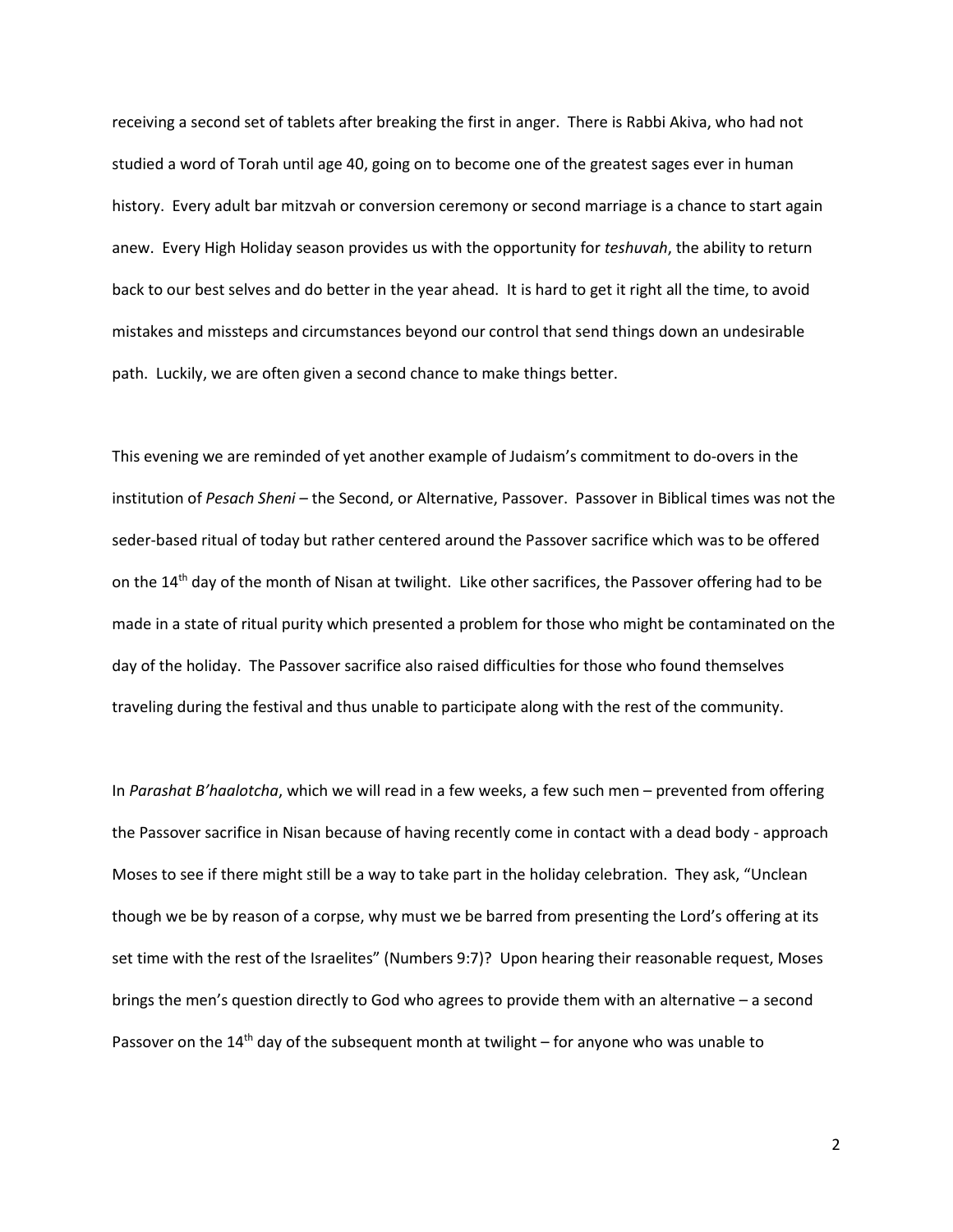receiving a second set of tablets after breaking the first in anger. There is Rabbi Akiva, who had not studied a word of Torah until age 40, going on to become one of the greatest sages ever in human history. Every adult bar mitzvah or conversion ceremony or second marriage is a chance to start again anew. Every High Holiday season provides us with the opportunity for *teshuvah*, the ability to return back to our best selves and do better in the year ahead. It is hard to get it right all the time, to avoid mistakes and missteps and circumstances beyond our control that send things down an undesirable path. Luckily, we are often given a second chance to make things better.

This evening we are reminded of yet another example of Judaism's commitment to do-overs in the institution of *Pesach Sheni –* the Second, or Alternative, Passover. Passover in Biblical times was not the seder-based ritual of today but rather centered around the Passover sacrifice which was to be offered on the 14<sup>th</sup> day of the month of Nisan at twilight. Like other sacrifices, the Passover offering had to be made in a state of ritual purity which presented a problem for those who might be contaminated on the day of the holiday. The Passover sacrifice also raised difficulties for those who found themselves traveling during the festival and thus unable to participate along with the rest of the community.

In *Parashat B'haalotcha*, which we will read in a few weeks, a few such men – prevented from offering the Passover sacrifice in Nisan because of having recently come in contact with a dead body - approach Moses to see if there might still be a way to take part in the holiday celebration. They ask, "Unclean though we be by reason of a corpse, why must we be barred from presenting the Lord's offering at its set time with the rest of the Israelites" (Numbers 9:7)? Upon hearing their reasonable request, Moses brings the men's question directly to God who agrees to provide them with an alternative – a second Passover on the 14<sup>th</sup> day of the subsequent month at twilight – for anyone who was unable to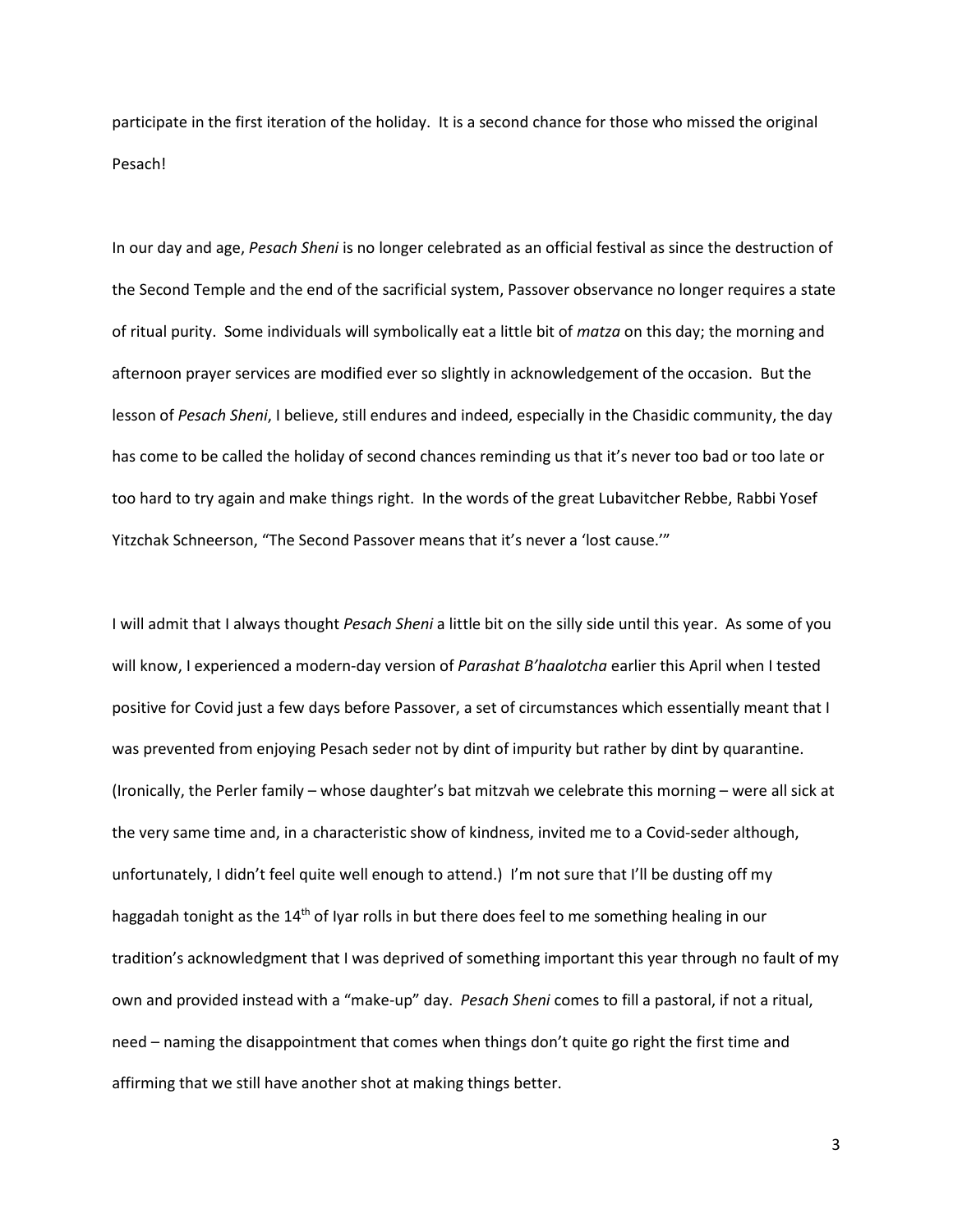participate in the first iteration of the holiday. It is a second chance for those who missed the original Pesach!

In our day and age, *Pesach Sheni* is no longer celebrated as an official festival as since the destruction of the Second Temple and the end of the sacrificial system, Passover observance no longer requires a state of ritual purity. Some individuals will symbolically eat a little bit of *matza* on this day; the morning and afternoon prayer services are modified ever so slightly in acknowledgement of the occasion. But the lesson of *Pesach Sheni*, I believe, still endures and indeed, especially in the Chasidic community, the day has come to be called the holiday of second chances reminding us that it's never too bad or too late or too hard to try again and make things right. In the words of the great Lubavitcher Rebbe, Rabbi Yosef Yitzchak Schneerson, "The Second Passover means that it's never a 'lost cause.'"

I will admit that I always thought *Pesach Sheni* a little bit on the silly side until this year. As some of you will know, I experienced a modern-day version of *Parashat B'haalotcha* earlier this April when I tested positive for Covid just a few days before Passover, a set of circumstances which essentially meant that I was prevented from enjoying Pesach seder not by dint of impurity but rather by dint by quarantine. (Ironically, the Perler family – whose daughter's bat mitzvah we celebrate this morning – were all sick at the very same time and, in a characteristic show of kindness, invited me to a Covid-seder although, unfortunately, I didn't feel quite well enough to attend.) I'm not sure that I'll be dusting off my haggadah tonight as the 14<sup>th</sup> of Iyar rolls in but there does feel to me something healing in our tradition's acknowledgment that I was deprived of something important this year through no fault of my own and provided instead with a "make-up" day. *Pesach Sheni* comes to fill a pastoral, if not a ritual, need – naming the disappointment that comes when things don't quite go right the first time and affirming that we still have another shot at making things better.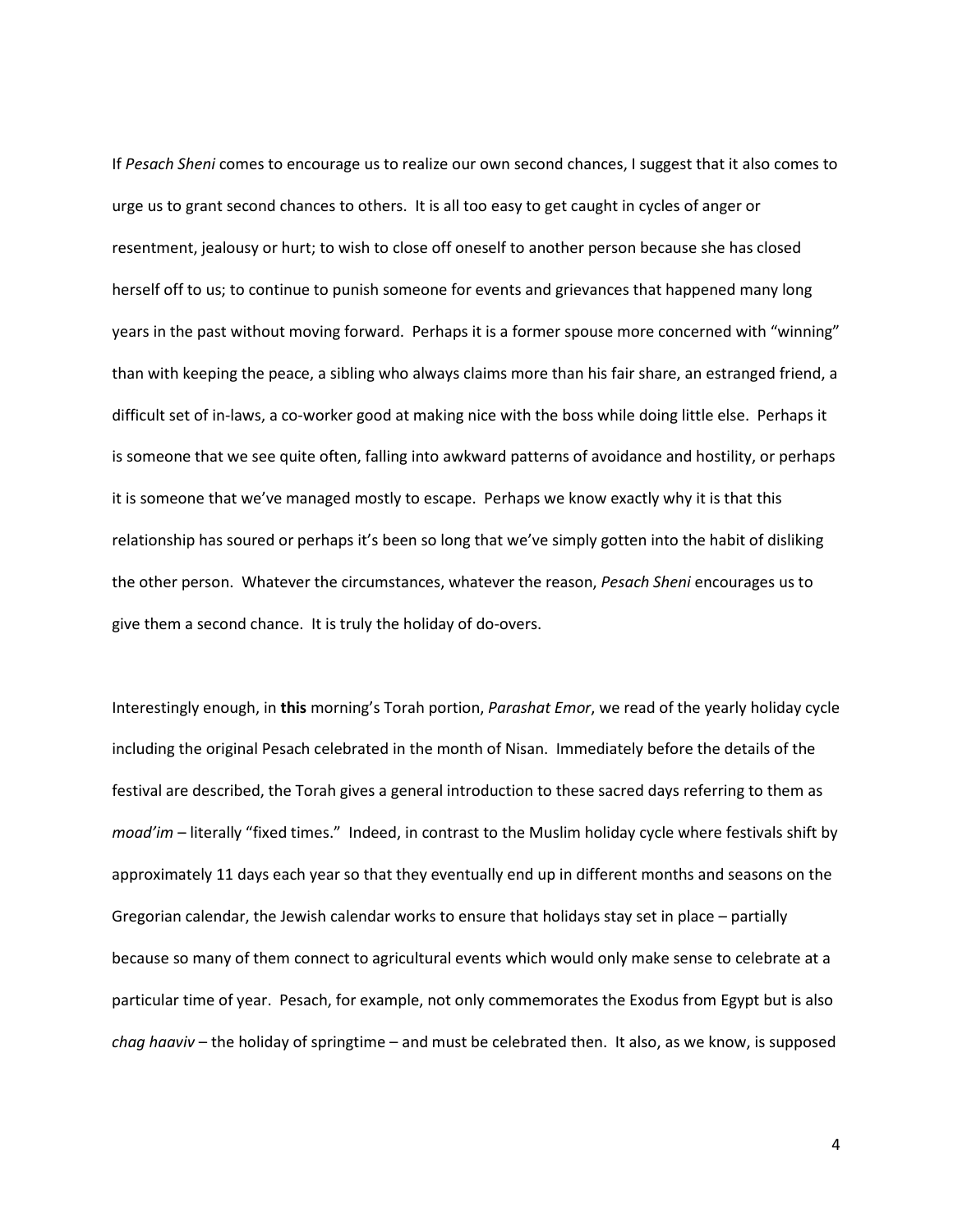If *Pesach Sheni* comes to encourage us to realize our own second chances, I suggest that it also comes to urge us to grant second chances to others. It is all too easy to get caught in cycles of anger or resentment, jealousy or hurt; to wish to close off oneself to another person because she has closed herself off to us; to continue to punish someone for events and grievances that happened many long years in the past without moving forward. Perhaps it is a former spouse more concerned with "winning" than with keeping the peace, a sibling who always claims more than his fair share, an estranged friend, a difficult set of in-laws, a co-worker good at making nice with the boss while doing little else. Perhaps it is someone that we see quite often, falling into awkward patterns of avoidance and hostility, or perhaps it is someone that we've managed mostly to escape. Perhaps we know exactly why it is that this relationship has soured or perhaps it's been so long that we've simply gotten into the habit of disliking the other person. Whatever the circumstances, whatever the reason, *Pesach Sheni* encourages us to give them a second chance. It is truly the holiday of do-overs.

Interestingly enough, in **this** morning's Torah portion, *Parashat Emor*, we read of the yearly holiday cycle including the original Pesach celebrated in the month of Nisan. Immediately before the details of the festival are described, the Torah gives a general introduction to these sacred days referring to them as *moad'im* – literally "fixed times." Indeed, in contrast to the Muslim holiday cycle where festivals shift by approximately 11 days each year so that they eventually end up in different months and seasons on the Gregorian calendar, the Jewish calendar works to ensure that holidays stay set in place – partially because so many of them connect to agricultural events which would only make sense to celebrate at a particular time of year. Pesach, for example, not only commemorates the Exodus from Egypt but is also *chag haaviv* – the holiday of springtime – and must be celebrated then. It also, as we know, is supposed